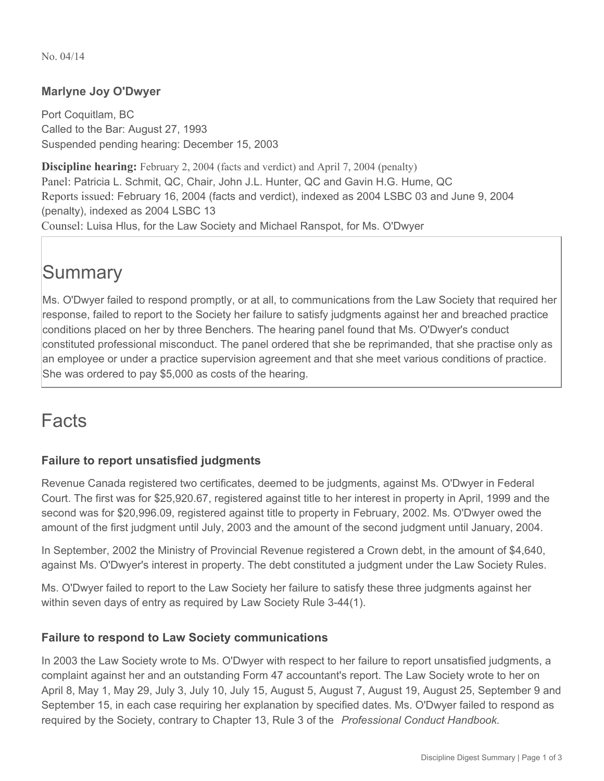No. 04/14

#### **Marlyne Joy O'Dwyer**

Port Coquitlam, BC Called to the Bar: August 27, 1993 Suspended pending hearing: December 15, 2003

**Discipline hearing:** February 2, 2004 (facts and verdict) and April 7, 2004 (penalty) Panel: Patricia L. Schmit, QC, Chair, John J.L. Hunter, QC and Gavin H.G. Hume, QC Reports issued: February 16, 2004 (facts and verdict), indexed as 2004 LSBC 03 and June 9, 2004 (penalty), indexed as 2004 LSBC 13 Counsel: Luisa Hlus, for the Law Society and Michael Ranspot, for Ms. O'Dwyer

## **Summary**

Ms. O'Dwyer failed to respond promptly, or at all, to communications from the Law Society that required her response, failed to report to the Society her failure to satisfy judgments against her and breached practice conditions placed on her by three Benchers. The hearing panel found that Ms. O'Dwyer's conduct constituted professional misconduct. The panel ordered that she be reprimanded, that she practise only as an employee or under a practice supervision agreement and that she meet various conditions of practice. She was ordered to pay \$5,000 as costs of the hearing.

### Facts

#### **Failure to report unsatisfied judgments**

Revenue Canada registered two certificates, deemed to be judgments, against Ms. O'Dwyer in Federal Court. The first was for \$25,920.67, registered against title to her interest in property in April, 1999 and the second was for \$20,996.09, registered against title to property in February, 2002. Ms. O'Dwyer owed the amount of the first judgment until July, 2003 and the amount of the second judgment until January, 2004.

In September, 2002 the Ministry of Provincial Revenue registered a Crown debt, in the amount of \$4,640, against Ms. O'Dwyer's interest in property. The debt constituted a judgment under the Law Society Rules.

Ms. O'Dwyer failed to report to the Law Society her failure to satisfy these three judgments against her within seven days of entry as required by Law Society Rule 3-44(1).

#### **Failure to respond to Law Society communications**

In 2003 the Law Society wrote to Ms. O'Dwyer with respect to her failure to report unsatisfied judgments, a complaint against her and an outstanding Form 47 accountant's report. The Law Society wrote to her on April 8, May 1, May 29, July 3, July 10, July 15, August 5, August 7, August 19, August 25, September 9 and September 15, in each case requiring her explanation by specified dates. Ms. O'Dwyer failed to respond as required by the Society, contrary to Chapter 13, Rule 3 of the *Professional Conduct Handbook.*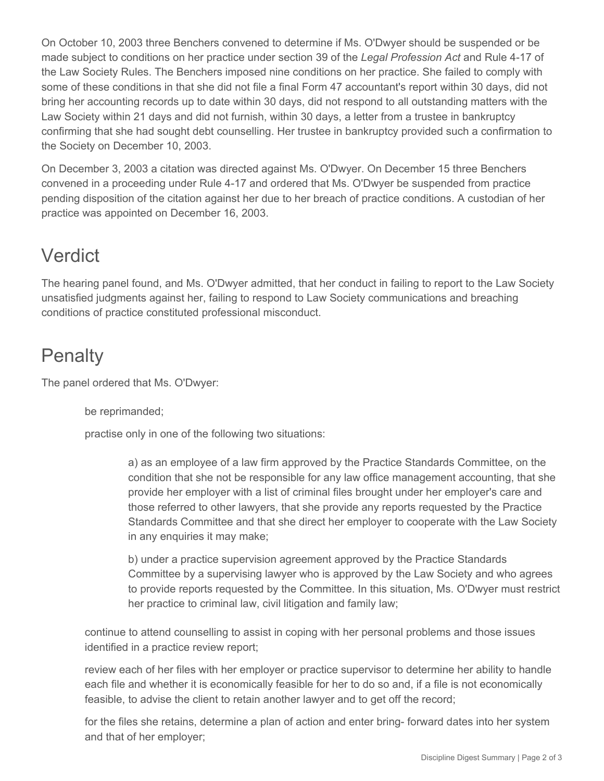On October 10, 2003 three Benchers convened to determine if Ms. O'Dwyer should be suspended or be made subject to conditions on her practice under section 39 of the *Legal Profession Act* and Rule 4-17 of the Law Society Rules. The Benchers imposed nine conditions on her practice. She failed to comply with some of these conditions in that she did not file a final Form 47 accountant's report within 30 days, did not bring her accounting records up to date within 30 days, did not respond to all outstanding matters with the Law Society within 21 days and did not furnish, within 30 days, a letter from a trustee in bankruptcy confirming that she had sought debt counselling. Her trustee in bankruptcy provided such a confirmation to the Society on December 10, 2003.

On December 3, 2003 a citation was directed against Ms. O'Dwyer. On December 15 three Benchers convened in a proceeding under Rule 4-17 and ordered that Ms. O'Dwyer be suspended from practice pending disposition of the citation against her due to her breach of practice conditions. A custodian of her practice was appointed on December 16, 2003.

## Verdict

The hearing panel found, and Ms. O'Dwyer admitted, that her conduct in failing to report to the Law Society unsatisfied judgments against her, failing to respond to Law Society communications and breaching conditions of practice constituted professional misconduct.

# **Penalty**

The panel ordered that Ms. O'Dwyer:

be reprimanded;

practise only in one of the following two situations:

a) as an employee of a law firm approved by the Practice Standards Committee, on the condition that she not be responsible for any law office management accounting, that she provide her employer with a list of criminal files brought under her employer's care and those referred to other lawyers, that she provide any reports requested by the Practice Standards Committee and that she direct her employer to cooperate with the Law Society in any enquiries it may make;

b) under a practice supervision agreement approved by the Practice Standards Committee by a supervising lawyer who is approved by the Law Society and who agrees to provide reports requested by the Committee. In this situation, Ms. O'Dwyer must restrict her practice to criminal law, civil litigation and family law;

continue to attend counselling to assist in coping with her personal problems and those issues identified in a practice review report;

review each of her files with her employer or practice supervisor to determine her ability to handle each file and whether it is economically feasible for her to do so and, if a file is not economically feasible, to advise the client to retain another lawyer and to get off the record;

for the files she retains, determine a plan of action and enter bring- forward dates into her system and that of her employer;